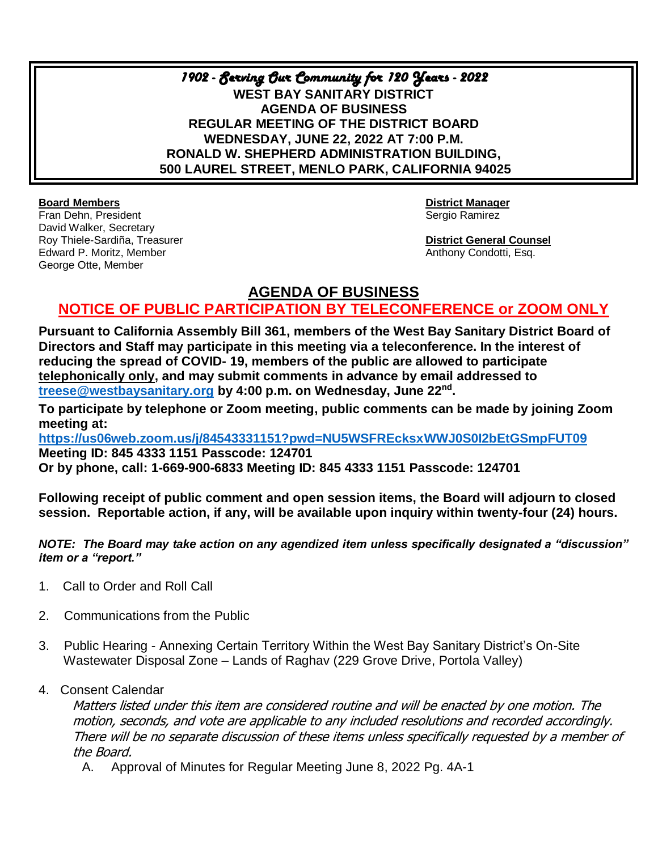*1902 - Serving Our Community for 120 Years - 2022*  **WEST BAY SANITARY DISTRICT AGENDA OF BUSINESS REGULAR MEETING OF THE DISTRICT BOARD WEDNESDAY, JUNE 22, 2022 AT 7:00 P.M. RONALD W. SHEPHERD ADMINISTRATION BUILDING, 500 LAUREL STREET, MENLO PARK, CALIFORNIA 94025**

**Board Members District Manager** Fran Dehn, President Sergio Ramirez (Sergio Ramirez Sergio Ramirez Sergio Ramirez Sergio Ramirez Sergio Ramirez David Walker, Secretary Roy Thiele-Sardiña, Treasurer **District General Counsel** Edward P. Moritz, Member Anthony Condotti, Esq. George Otte, Member

## **AGENDA OF BUSINESS**

## **NOTICE OF PUBLIC PARTICIPATION BY TELECONFERENCE or ZOOM ONLY**

**Pursuant to California Assembly Bill 361, members of the West Bay Sanitary District Board of Directors and Staff may participate in this meeting via a teleconference. In the interest of reducing the spread of COVID- 19, members of the public are allowed to participate telephonically only, and may submit comments in advance by email addressed to [treese@westbaysanitary.org](mailto:info@westbaysanitary.org) by 4:00 p.m. on Wednesday, June 22nd .** 

**To participate by telephone or Zoom meeting, public comments can be made by joining Zoom meeting at:**

**<https://us06web.zoom.us/j/84543331151?pwd=NU5WSFREcksxWWJ0S0I2bEtGSmpFUT09> Meeting ID: 845 4333 1151 Passcode: 124701 Or by phone, call: 1-669-900-6833 Meeting ID: 845 4333 1151 Passcode: 124701**

**Following receipt of public comment and open session items, the Board will adjourn to closed session. Reportable action, if any, will be available upon inquiry within twenty-four (24) hours.**

*NOTE: The Board may take action on any agendized item unless specifically designated a "discussion" item or a "report."*

- 1. Call to Order and Roll Call
- 2. Communications from the Public
- 3. Public Hearing Annexing Certain Territory Within the West Bay Sanitary District's On-Site Wastewater Disposal Zone – Lands of Raghav (229 Grove Drive, Portola Valley)
- 4. Consent Calendar

Matters listed under this item are considered routine and will be enacted by one motion. The motion, seconds, and vote are applicable to any included resolutions and recorded accordingly. There will be no separate discussion of these items unless specifically requested by a member of the Board.

A. Approval of Minutes for Regular Meeting June 8, 2022 Pg. 4A-1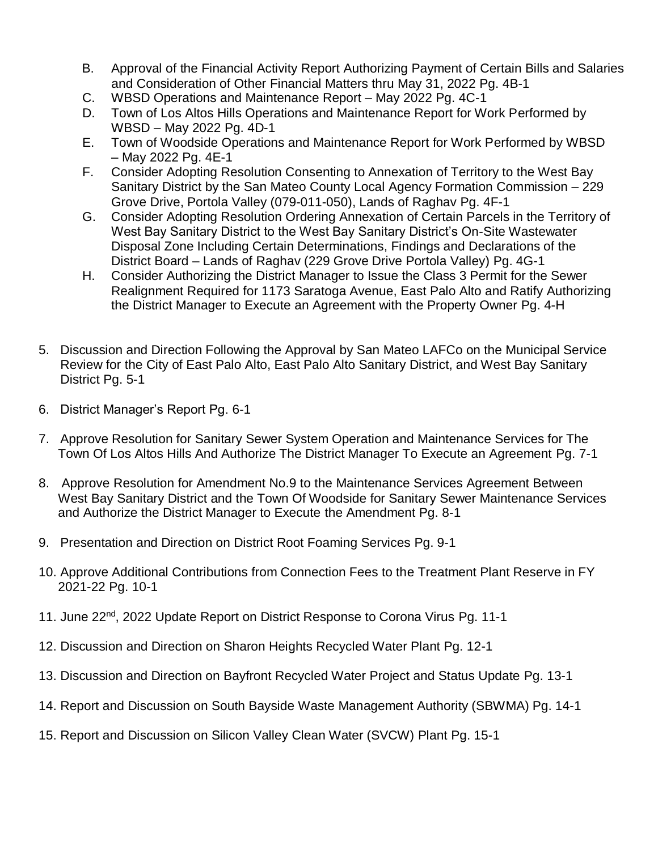- B. Approval of the Financial Activity Report Authorizing Payment of Certain Bills and Salaries and Consideration of Other Financial Matters thru May 31, 2022 Pg. 4B-1
- C. WBSD Operations and Maintenance Report May 2022 Pg. 4C-1
- D. Town of Los Altos Hills Operations and Maintenance Report for Work Performed by WBSD – May 2022 Pg. 4D-1
- E. Town of Woodside Operations and Maintenance Report for Work Performed by WBSD – May 2022 Pg. 4E-1
- F. Consider Adopting Resolution Consenting to Annexation of Territory to the West Bay Sanitary District by the San Mateo County Local Agency Formation Commission – 229 Grove Drive, Portola Valley (079-011-050), Lands of Raghav Pg. 4F-1
- G. Consider Adopting Resolution Ordering Annexation of Certain Parcels in the Territory of West Bay Sanitary District to the West Bay Sanitary District's On-Site Wastewater Disposal Zone Including Certain Determinations, Findings and Declarations of the District Board – Lands of Raghav (229 Grove Drive Portola Valley) Pg. 4G-1
- H. Consider Authorizing the District Manager to Issue the Class 3 Permit for the Sewer Realignment Required for 1173 Saratoga Avenue, East Palo Alto and Ratify Authorizing the District Manager to Execute an Agreement with the Property Owner Pg. 4-H
- 5. Discussion and Direction Following the Approval by San Mateo LAFCo on the Municipal Service Review for the City of East Palo Alto, East Palo Alto Sanitary District, and West Bay Sanitary District Pg. 5-1
- 6. District Manager's Report Pg. 6-1
- 7. Approve Resolution for Sanitary Sewer System Operation and Maintenance Services for The Town Of Los Altos Hills And Authorize The District Manager To Execute an Agreement Pg. 7-1
- 8. Approve Resolution for Amendment No.9 to the Maintenance Services Agreement Between West Bay Sanitary District and the Town Of Woodside for Sanitary Sewer Maintenance Services and Authorize the District Manager to Execute the Amendment Pg. 8-1
- 9. Presentation and Direction on District Root Foaming Services Pg. 9-1
- 10. Approve Additional Contributions from Connection Fees to the Treatment Plant Reserve in FY 2021-22 Pg. 10-1
- 11. June 22<sup>nd</sup>, 2022 Update Report on District Response to Corona Virus Pg. 11-1
- 12. Discussion and Direction on Sharon Heights Recycled Water Plant Pg. 12-1
- 13. Discussion and Direction on Bayfront Recycled Water Project and Status Update Pg. 13-1
- 14. Report and Discussion on South Bayside Waste Management Authority (SBWMA) Pg. 14-1
- 15. Report and Discussion on Silicon Valley Clean Water (SVCW) Plant Pg. 15-1